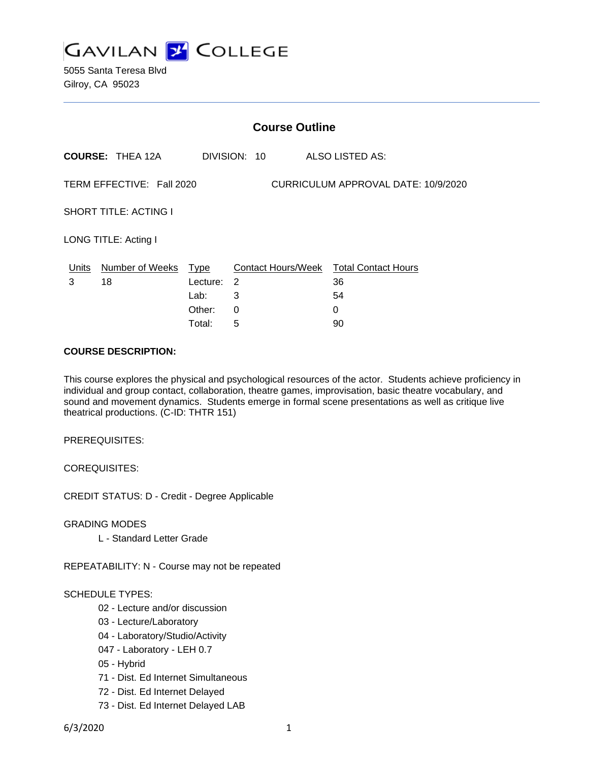

5055 Santa Teresa Blvd Gilroy, CA 95023

| <b>Course Outline</b>                                            |                         |             |                |                                        |
|------------------------------------------------------------------|-------------------------|-------------|----------------|----------------------------------------|
|                                                                  | <b>COURSE: THEA 12A</b> |             | DIVISION: 10   | ALSO LISTED AS:                        |
| TERM EFFECTIVE: Fall 2020<br>CURRICULUM APPROVAL DATE: 10/9/2020 |                         |             |                |                                        |
| <b>SHORT TITLE: ACTING I</b>                                     |                         |             |                |                                        |
| LONG TITLE: Acting I                                             |                         |             |                |                                        |
| Units                                                            | Number of Weeks         | <u>Type</u> |                | Contact Hours/Week Total Contact Hours |
| 3                                                                | 18                      | Lecture:    | $\overline{2}$ | 36                                     |
|                                                                  |                         | Lab:        | 3              | 54                                     |
|                                                                  |                         | Other:      | 0              | 0                                      |
|                                                                  |                         | Total:      | 5              | 90                                     |

### **COURSE DESCRIPTION:**

This course explores the physical and psychological resources of the actor. Students achieve proficiency in individual and group contact, collaboration, theatre games, improvisation, basic theatre vocabulary, and sound and movement dynamics. Students emerge in formal scene presentations as well as critique live theatrical productions. (C-ID: THTR 151)

PREREQUISITES:

COREQUISITES:

CREDIT STATUS: D - Credit - Degree Applicable

GRADING MODES

L - Standard Letter Grade

REPEATABILITY: N - Course may not be repeated

#### SCHEDULE TYPES:

- 02 Lecture and/or discussion
- 03 Lecture/Laboratory
- 04 Laboratory/Studio/Activity
- 047 Laboratory LEH 0.7
- 05 Hybrid
- 71 Dist. Ed Internet Simultaneous
- 72 Dist. Ed Internet Delayed
- 73 Dist. Ed Internet Delayed LAB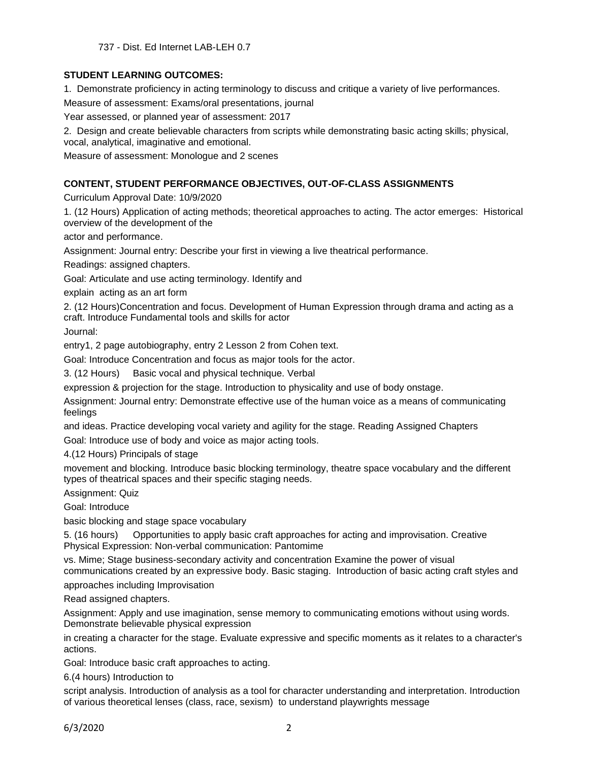## **STUDENT LEARNING OUTCOMES:**

1. Demonstrate proficiency in acting terminology to discuss and critique a variety of live performances.

Measure of assessment: Exams/oral presentations, journal

Year assessed, or planned year of assessment: 2017

2. Design and create believable characters from scripts while demonstrating basic acting skills; physical, vocal, analytical, imaginative and emotional.

Measure of assessment: Monologue and 2 scenes

# **CONTENT, STUDENT PERFORMANCE OBJECTIVES, OUT-OF-CLASS ASSIGNMENTS**

Curriculum Approval Date: 10/9/2020

1. (12 Hours) Application of acting methods; theoretical approaches to acting. The actor emerges: Historical overview of the development of the

actor and performance.

Assignment: Journal entry: Describe your first in viewing a live theatrical performance.

Readings: assigned chapters.

Goal: Articulate and use acting terminology. Identify and

explain acting as an art form

2. (12 Hours)Concentration and focus. Development of Human Expression through drama and acting as a craft. Introduce Fundamental tools and skills for actor

Journal:

entry1, 2 page autobiography, entry 2 Lesson 2 from Cohen text.

Goal: Introduce Concentration and focus as major tools for the actor.

3. (12 Hours) Basic vocal and physical technique. Verbal

expression & projection for the stage. Introduction to physicality and use of body onstage.

Assignment: Journal entry: Demonstrate effective use of the human voice as a means of communicating feelings

and ideas. Practice developing vocal variety and agility for the stage. Reading Assigned Chapters

Goal: Introduce use of body and voice as major acting tools.

4.(12 Hours) Principals of stage

movement and blocking. Introduce basic blocking terminology, theatre space vocabulary and the different types of theatrical spaces and their specific staging needs.

Assignment: Quiz

Goal: Introduce

basic blocking and stage space vocabulary

5. (16 hours) Opportunities to apply basic craft approaches for acting and improvisation. Creative Physical Expression: Non-verbal communication: Pantomime

vs. Mime; Stage business-secondary activity and concentration Examine the power of visual communications created by an expressive body. Basic staging. Introduction of basic acting craft styles and

approaches including Improvisation

Read assigned chapters.

Assignment: Apply and use imagination, sense memory to communicating emotions without using words. Demonstrate believable physical expression

in creating a character for the stage. Evaluate expressive and specific moments as it relates to a character's actions.

Goal: Introduce basic craft approaches to acting.

6.(4 hours) Introduction to

script analysis. Introduction of analysis as a tool for character understanding and interpretation. Introduction of various theoretical lenses (class, race, sexism) to understand playwrights message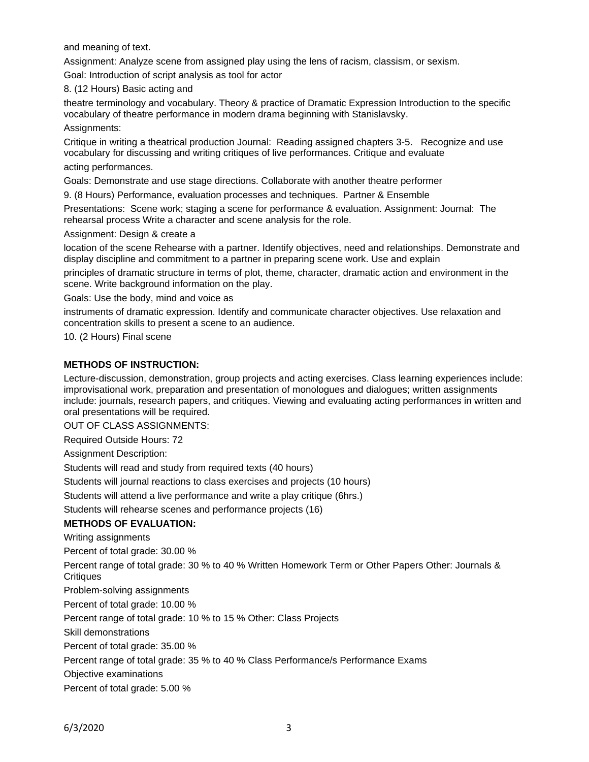and meaning of text.

Assignment: Analyze scene from assigned play using the lens of racism, classism, or sexism.

Goal: Introduction of script analysis as tool for actor

8. (12 Hours) Basic acting and

theatre terminology and vocabulary. Theory & practice of Dramatic Expression Introduction to the specific vocabulary of theatre performance in modern drama beginning with Stanislavsky.

Assignments:

Critique in writing a theatrical production Journal: Reading assigned chapters 3-5. Recognize and use vocabulary for discussing and writing critiques of live performances. Critique and evaluate acting performances.

Goals: Demonstrate and use stage directions. Collaborate with another theatre performer

9. (8 Hours) Performance, evaluation processes and techniques. Partner & Ensemble

Presentations: Scene work; staging a scene for performance & evaluation. Assignment: Journal: The rehearsal process Write a character and scene analysis for the role.

Assignment: Design & create a

location of the scene Rehearse with a partner. Identify objectives, need and relationships. Demonstrate and display discipline and commitment to a partner in preparing scene work. Use and explain

principles of dramatic structure in terms of plot, theme, character, dramatic action and environment in the scene. Write background information on the play.

Goals: Use the body, mind and voice as

instruments of dramatic expression. Identify and communicate character objectives. Use relaxation and concentration skills to present a scene to an audience.

10. (2 Hours) Final scene

### **METHODS OF INSTRUCTION:**

Lecture-discussion, demonstration, group projects and acting exercises. Class learning experiences include: improvisational work, preparation and presentation of monologues and dialogues; written assignments include: journals, research papers, and critiques. Viewing and evaluating acting performances in written and oral presentations will be required.

OUT OF CLASS ASSIGNMENTS:

Required Outside Hours: 72

Assignment Description:

Students will read and study from required texts (40 hours)

Students will journal reactions to class exercises and projects (10 hours)

Students will attend a live performance and write a play critique (6hrs.)

Students will rehearse scenes and performance projects (16)

### **METHODS OF EVALUATION:**

Writing assignments

Percent of total grade: 30.00 %

Percent range of total grade: 30 % to 40 % Written Homework Term or Other Papers Other: Journals & **Critiques** 

Problem-solving assignments

Percent of total grade: 10.00 %

Percent range of total grade: 10 % to 15 % Other: Class Projects

Skill demonstrations

Percent of total grade: 35.00 %

Percent range of total grade: 35 % to 40 % Class Performance/s Performance Exams

Objective examinations

Percent of total grade: 5.00 %